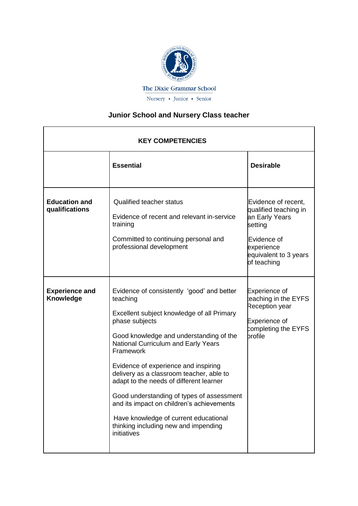

## **Junior School and Nursery Class teacher**

| <b>KEY COMPETENCIES</b>                |                                                                                                                                                                                                                                                                                                                                                                                                                                                                                                                                                |                                                                                                                                                |  |
|----------------------------------------|------------------------------------------------------------------------------------------------------------------------------------------------------------------------------------------------------------------------------------------------------------------------------------------------------------------------------------------------------------------------------------------------------------------------------------------------------------------------------------------------------------------------------------------------|------------------------------------------------------------------------------------------------------------------------------------------------|--|
|                                        | <b>Essential</b>                                                                                                                                                                                                                                                                                                                                                                                                                                                                                                                               | <b>Desirable</b>                                                                                                                               |  |
| <b>Education and</b><br>qualifications | <b>Qualified teacher status</b><br>Evidence of recent and relevant in-service<br>training<br>Committed to continuing personal and<br>professional development                                                                                                                                                                                                                                                                                                                                                                                  | Evidence of recent,<br>qualified teaching in<br>an Early Years<br>setting<br>Evidence of<br>experience<br>equivalent to 3 years<br>of teaching |  |
| <b>Experience and</b><br>Knowledge     | Evidence of consistently 'good' and better<br>teaching<br>Excellent subject knowledge of all Primary<br>phase subjects<br>Good knowledge and understanding of the<br>National Curriculum and Early Years<br>Framework<br>Evidence of experience and inspiring<br>delivery as a classroom teacher, able to<br>adapt to the needs of different learner<br>Good understanding of types of assessment<br>and its impact on children's achievements<br>Have knowledge of current educational<br>thinking including new and impending<br>initiatives | Experience of<br>eaching in the EYFS<br>Reception year<br>Experience of<br>completing the EYFS<br>brofile                                      |  |